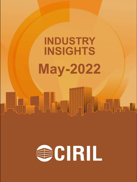# **INDUSTRY INSIGHTS May-2022**

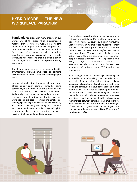# **HYBRID MODEL – THE NEW WORKPLACE PARADIGM**

**Pandemic** has brought in many changes in our world. One of the areas which experienced a massive shift is how we work. From holding mundane 9 to 6 jobs, we rapidly adopted to a remote work model in the pandemic world. It forced most of us to go through a period of uncertainty regarding sustainability of remote working to finally realising that it is a viable option and emerged the concept of *Hybridisation of workplace*

The hybrid work-culture is a location-flexible arrangement, allowing employees to combine onsite and offsite work as they and their employers see fit.

In a hybrid work setup, limited people work from offices at any given point of time. For some companies, this may mean judicious investment of capex on costly real estate investments. Additionally, by rethinking workplace strategy, companies through optimal mix of office space and work options like satellite offices and smaller coworking spaces, might lower cost of real estate by 30 percent. Following the lifting of pandemic lockdowns worldwide, a wide range of hybrid arrangements have emerged, granting employees flexibility that was seldom offered before.

The pandemic served to dispel some myths around reduced productivity and/or quality of work when done from home. A study by Boston Consulting Group of over 12,000 employees reveals that many employees feel their productivity has stayed the same or even increased since they've been able to work from home. Teams reported similar or even better results than pre-pandemic years and many people adapted positively to working from home. Many large corporations such as Microsoft, Google, Facebook, and Twitter have announced Work From Home (WFH) options for employees.

Even though WFH is increasingly becoming an acceptable mode of working, the downside of this are lack of organisation culture, team building activities, collaboration, interactions and motivation leading to employee burnout, loneliness and mental health issues. This has led to exploring new models for hybrid and collaborative working environment that strikes the right balance between working place and time as well as fosters healthy interpersonal relationships between employee and employers. As we all reimagine the future of work, the paradigms of remote and hybrid work for employees and employers are being explored – *Work Near Home is turning into reality*

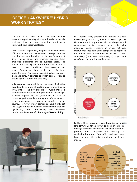## **'OFFICE + ANYWHERE' HYBRID WORK STRATEGY**

Traditionally, IT & ITeS sectors have been the first movers in experimenting with hybrid models a decade back and since then have created a robust policy framework to support workforce.

Other sectors are gradually adopting to newer working of hybrid models as a post pandemic strategy. For most organizations, hybrid work will be the way forward as it drives many direct and indirect benefits, from employee experience and to business needs. The models are evolving and there is no best fit as it is based on their capabilities, key verticals and needs. Figuring out how to do this is far from straightforward. For most players, it involves two axes: place and �me. A balanced approach becomes vital to ensure optimal output and efficiency.

Indian companies are still in evolving stage of adopting hybrid model as a way of working at government policy level. One of the key enablers of hybrid model is communication infrastructure grounded to technology. It needs impetus by the government in terms of conducive policy enablers to upgrade infrastructure to create a sustainable eco-system for workforce in the country. However, many companies have firmly set their sights on flexible working arrangements that can significantly boost productivity and employee sa�sfac�on. *Future is all about Hybrid – Flexibility*

In a recent study published in Harvard Business Review, (May-June 2021), 'How to do Hybrid right' by Linda Gratton, it is proposed that to design hybrid work arrangements, companies need design with individual human concerns in mind, not just institutional ones. It requires companies to approach the problem from four different perspectives: (1) jobs and tasks; (2) employee preferences; (3) projects and workflows; (4) inclusion and fairness.



Further, Office - Anywhere hybrid working can offerent long-term value for employers and employees alike, driving a variety of benefits for any organization. At present, most companies are focussing on combining both work from office and work from home on a weekly basis to optimise the hybrid model.

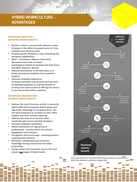# **HYBRID WORKCULTURE - ADVANTAGES**

#### **ADVANTAGE EMPLOYEES – EMPLOYEE-CENTRIC BENEFITS**

- Worker's safety is ensured with reduced number of people in the office at any given point of time, creating more personal space.
- Provides greater flexibility in tasks scheduling and workplace adaptiveness.
- Work Life Balance: Reduces stress level, decreases travel costs, increases psychological comfort of working from both home and office whenever desired.
- Reduced absenteeism in the work place as it allows operational modalities from anywhere  $$ anytime.
- Enhances employee experience, increases motivation and prevents work burnout by allowing employees to reap the benefits of working from home as well as offering the chance to see and socialize with co-workers.

#### **ADVANTAGE ORGANISATION – BUSINESS CENTRIC BENEFITS**

- Reduces the cost of business activity: A successful hybrid office will incorporate shared spaces and take better advantage of occupancy levels. This will allow employers to cut down on rent, office supplies and other business expenses.
- Optimize the amount of common office overheads with service oriented workplace.
- Increases employee satisfaction.
- Allows employment of huge group of professionals - Increase talent recruitment, engagement and retention.
- Strengthens the brand image  $-$  boosting business continuity and resilience.
- Working in collaborative and innovative knowledge sharing environment for better productivity.
- Saving carbon costs have been one on the most valued advantages of hybrid model.



*Source: Key Note by J.P. Gownder (VP & Principal Analyst, Forrester) at the Work From Anywhere conference in March 2021*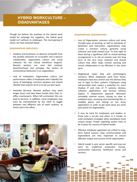## **HYBRID WORKCULTURE – DISADVANTAGES**

Though we believe the positives of the hybrid work model far outweigh the negatives, the hybrid work model isn't without its challenges. The most glaring of which, we have outlined below.

#### **DISADVANTAGE EMPLOYEES –**

- Isolation and loneliness: In absence of benefit from the positive elements of co-location and in-person collaboration, organisation culture and social cohesion for the virtual workforce languish. Remote workers can soon feel isolated, disenfranchised and unhappy, the victims of unintentional behaviour in an organization.
- Lack of motivation: Organisation culture and performance suffers if employees don't identify the sense of belonging, common purpose and shared identity that inspires all of us to do our best work.
- Potential Burnout: Remote workers may work longer hours and take fewer breaks than their inoffice counterparts. When left unchecked, this can lead to burnout. In addition, some employees may even be overwhelmed by the need to toggle between two different sets of work routines, at home and in the office.



#### **DISADVANTAGE ORGANISATION –**

- Loss of Organisation common culture and value through ways of working, as well as standards of behaviour and interaction, organisations help create a common culture, generate social cohesion and build shared trust. To lose sight of them during a significant shift to virtual-working arrangements is to risk an erosion over the long term of the very trust, cohesion and shared culture that often helps remote working and virtual collaboration to be effective in the short term.
- Heightened Cyber Risk and technological concerns: When employees work from home, employers have less control over the devices they use to login to their systems. Employees using self-provided tools means a potential for more shadow IT and risks of IT systems, devices, software, applications, and services without explicit IT department approval. Moreover unreliable internet access, relying on slow or outdated tools, accessing and maintaining files in multiple places and relying on too many applications in order to get work done are some pain points for organisation.
- It may be hard for employees and leaders to know who is on-site and when. It is harder to scale workplace strategies when workplaces have unique setups. Proper reporting system have to be in-place for success of hybrid model.
- Effective employee appraisals are critical to longterm hybrid success. Clear communication and expectations are very important to ensure effective output and success of the organisation.
- Hybrid model is very sector specific and may not work for traditional production houses, construction industries, healthcare sector and services.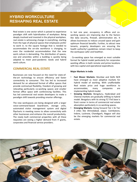## **HYBRID WORKCULTURE RESHAPING REAL ESTATE**

Real estate is one sector which is poised to experience paradigm shift with hybridisation of workplace. Being deeply involved and invested in the physical workplace, real estate is witnessing change in everything, starting from the type of physical spaces that employees prefer to work in, to the square footage that is needed to accommodate the on-site workforce is changing, to even the residential accommodation that the new work culture is demanding. The distribution of spaces, size and amenities within a building is quickly being adapted to meet post-pandemic needs and hybrid work culture.

#### **COMMERCIAL REAL ESTATE**

Businesses are now focused on the need for state-ofthe-art technology to ensure efficiency and faster connectivity to consumer. This has led to increased demand for an advanced format of office spaces that provide contractual flexibility, freedom of growing and relocating particularly co-working spaces and smaller format office space with conferencing facilities. This has led commercial real estate developers to make a paradigm shift towards providing smarter offerings.

The new workspaces are being designed with a larger voice-command-based boardroom, storage units, automated visitor management system and digital flipcharts in meeting rooms to allow connectivity with other businesses and enhance the overall productivity. The newly built commercial properties with all these requisites are seeing a higher demand from IT giants, corporates and financial service providers.

In last one year, occupancy in offices and coworking spaces are improving due to the factors like data security, firewall, administration etc. It allows businesses to reduce unused space and gain optimum financial benefits. Further, to attract new tenants, property developers are ensuring the health authority's guidelines remain intact to keep the workspace safer and healthier.

. Co-working space has emerged as most suitable format for hybrid model particularly for corporates wanting offices in both remote and prime locations with less capital and operational expenditure.

#### **Major Markets in India**

- **Fast Mover Markets:** Mumbai and Delhi NCR have emerged as most adoptive markets for hybrid model of working. With unaffordable Real estate price and huge workforce to accommodate, many companies are implementing hybrid model.
- **Growing Markets:** Bengaluru, Hyderabad and Chennai markets are gradually shifting to hybrid model. Bengaluru with its strong IT/ ITeS base is front runner in terms of commercial real estate absorption particularly in co-working spaces.
- **Emerging Markets:** Going forward Tier 2 & Tier 3 cities like Ahmedabad, Jaipur, Coimbatore, Indore, Lucknow, Chandigarh, Nagpur will also be the emerging markets for commercial real estate.

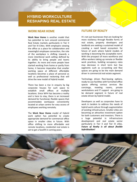# **HYBRID WORKCULTURE RESHAPING REAL ESTATE**

#### **WORK NEAR HOME**

**Work Near Home** is another model that has potential to turn around commercial Real Estate markets particularly in Tier II and Tier III Cities. With employers viewing the office as a place for collaboration and meaningful employee connection, the role of the workplace is shifting towards a more intentional work setting defined by its ability to bring people and teams together. As more and more people have started working from home or partly from home, it become imperative that smaller working space at different affordable locations becomes a place of personal as well as professional reckoning that will drive the new model of Hybrid model.

There has been a rise in enquiry by big corporate houses for such space to establish small offices at multiple locations. Since WFH has become a reality and is here to stay, there is an increased demand for functional, flexible spaces that accommodate workspace conveniently located at urban centre for easy access of employees working remotely.

The **Work Near Home** model of Hybrid work option has potential to create appropriate demand for commercial office space in smaller cities in future. With office shifting to more affordable and remote locations, residential real estate is set to get a facelift in coming years.

#### **FUTURE OF REALTY**

It's not just businesses that are looking for more resiliency through flexible forms of real estate, property developers and landlords are seeking a sustained model of creating a need based ecosystem for future of work where hybrid models of working is becoming the acceptable norm. With the prospect of more workforce and office workers taking up remote or flexible work practices, building occupancy rates may decrease in short term but few segments such as co-working and flexi spaces are going to be the main demand driver in commercial real estate segment.

Technology driven flexi-leasing options, ready-to-use facili�es with furnished office spaces offering various services like concierge, meeting rooms, private workstations and IT support are going to be demand segment in future of real estate driven by hybrid model.

Developers as well as corporates have to work in tandem to address the needs of hybrid work culture through augmentation of existing infrastructure. Smaller cities are becoming an attractive investment option for both customers and investors. There is a huge potential in infrastructure development and real estate sector particularly in Tier II and Tier III cities. *Future of Realty is all about flexible hybridisation!*

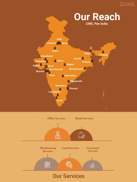# **@CIRIL**





# **Our Services**